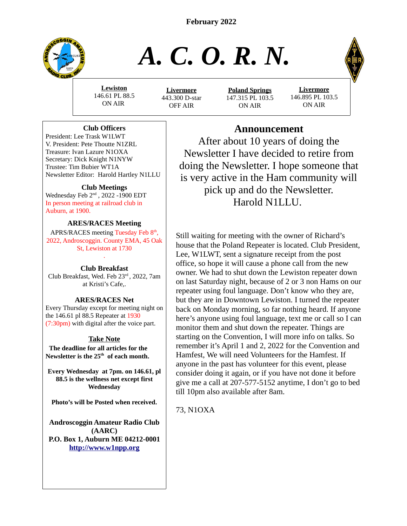**February 2022**



# *A. C. O. R. N.*

**Lewiston** 146.61 PL 88.5 ON AIR

**Livermore** 443.300 D-star OFF AIR

**Poland Springs** 147.315 PL 103.5 ON AIR

**Livermore** 146.895 PL 103.5 ON AIR

# **Club Officers**

President: Lee Trask W1LWT V. President: Pete Thoutte N1ZRL Treasure: Ivan Lazure N1OXA Secretary: Dick Knight N1NYW Trustee: Tim Bubier WT1A Newsletter Editor: Harold Hartley N1LLU

# **Club Meetings**

Wednesday Feb 2nd , 2022 -1900 EDT In person meeting at railroad club in Auburn, at 1900.

# **ARES/RACES Meeting**

APRS/RACES meeting Tuesday Feb 8<sup>th</sup>, 2022, Androscoggin. County EMA, 45 Oak St, Lewiston at 1730

# . **Club Breakfast**

Club Breakfast, Wed. Feb 23rd , 2022, 7am at Kristi's Cafe,.

# **ARES/RACES Net**

Every Thursday except for meeting night on the 146.61 pl 88.5 Repeater at 1930 (7:30pm) with digital after the voice part.

# **Take Note**

 **The deadline for all articles for the Newsletter is the 25th of each month.**

**Every Wednesday at 7pm. on 146.61, pl 88.5 is the wellness net except first Wednesday**

**Photo's will be Posted when received.**

**Androscoggin Amateur Radio Club (AARC) P.O. Box 1, Auburn ME 04212-0001 [http://www.w1npp.org](http://www.w1npp.org/)**

# **Announcement**

After about 10 years of doing the Newsletter I have decided to retire from doing the Newsletter. I hope someone that is very active in the Ham community will pick up and do the Newsletter. Harold N1LLU.

Still waiting for meeting with the owner of Richard's house that the Poland Repeater is located. Club President, Lee, W1LWT, sent a signature receipt from the post office, so hope it will cause a phone call from the new owner. We had to shut down the Lewiston repeater down on last Saturday night, because of 2 or 3 non Hams on our repeater using foul language. Don't know who they are, but they are in Downtown Lewiston. I turned the repeater back on Monday morning, so far nothing heard. If anyone here's anyone using foul language, text me or call so I can monitor them and shut down the repeater. Things are starting on the Convention, I will more info on talks. So remember it's April 1 and 2, 2022 for the Convention and Hamfest, We will need Volunteers for the Hamfest. If anyone in the past has volunteer for this event, please consider doing it again, or if you have not done it before give me a call at 207-577-5152 anytime, I don't go to bed till 10pm also available after 8am.

73, N1OXA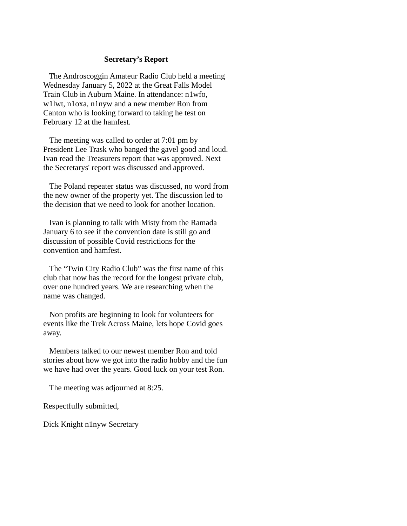#### **Secretary's Report**

 The Androscoggin Amateur Radio Club held a meeting Wednesday January 5, 2022 at the Great Falls Model Train Club in Auburn Maine. In attendance: n1wfo, w1lwt, n1oxa, n1nyw and a new member Ron from Canton who is looking forward to taking he test on February 12 at the hamfest.

 The meeting was called to order at 7:01 pm by President Lee Trask who banged the gavel good and loud. Ivan read the Treasurers report that was approved. Next the Secretarys' report was discussed and approved.

 The Poland repeater status was discussed, no word from the new owner of the property yet. The discussion led to the decision that we need to look for another location.

 Ivan is planning to talk with Misty from the Ramada January 6 to see if the convention date is still go and discussion of possible Covid restrictions for the convention and hamfest.

 The "Twin City Radio Club" was the first name of this club that now has the record for the longest private club, over one hundred years. We are researching when the name was changed.

 Non profits are beginning to look for volunteers for events like the Trek Across Maine, lets hope Covid goes away.

 Members talked to our newest member Ron and told stories about how we got into the radio hobby and the fun we have had over the years. Good luck on your test Ron.

The meeting was adjourned at 8:25.

Respectfully submitted,

Dick Knight n1nyw Secretary